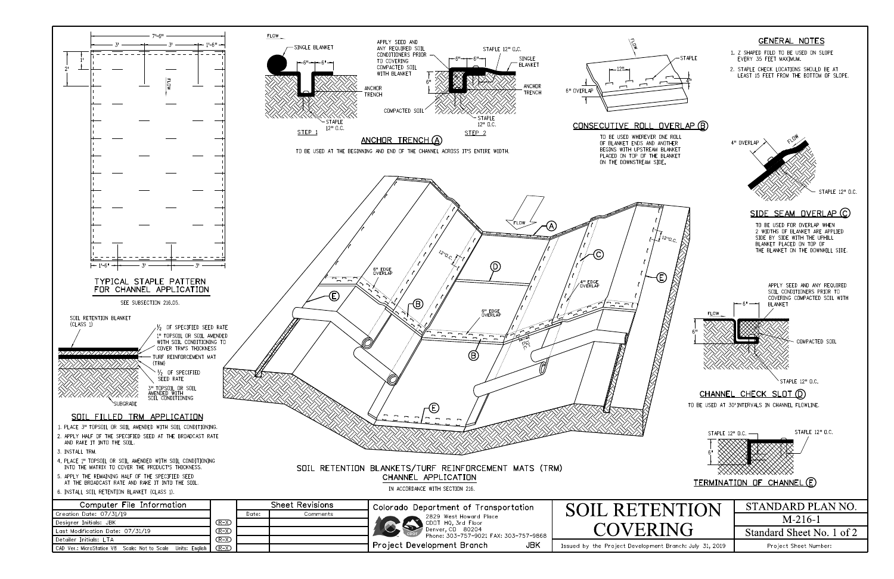